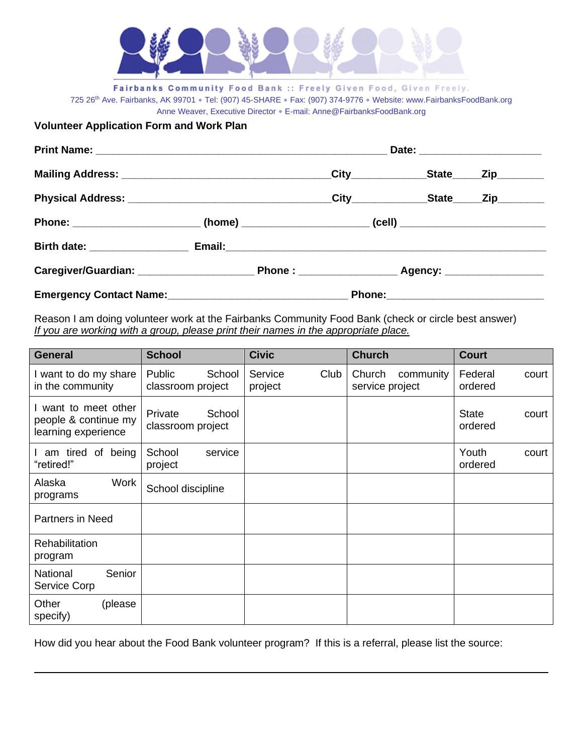

Fairbanks Community Food Bank :: Freely Given Food, Given Freely. 725 26th Ave. Fairbanks, AK 99701 • Tel: (907) 45-SHARE • Fax: (907) 374-9776 • Website: www.FairbanksFoodBank.org Anne Weaver, Executive Director . E-mail: Anne@FairbanksFoodBank.org

**Volunteer Application Form and Work Plan**

|                                                           |  |  |  | Date: _______________________ |  |  |
|-----------------------------------------------------------|--|--|--|-------------------------------|--|--|
|                                                           |  |  |  |                               |  |  |
|                                                           |  |  |  |                               |  |  |
|                                                           |  |  |  |                               |  |  |
|                                                           |  |  |  |                               |  |  |
|                                                           |  |  |  |                               |  |  |
| Emergency Contact Name:<br><u>Emergency Contact Name:</u> |  |  |  |                               |  |  |

Reason I am doing volunteer work at the Fairbanks Community Food Bank (check or circle best answer) *If you are working with a group, please print their names in the appropriate place.*

| <b>General</b>                                                      | <b>School</b>                          | <b>Civic</b>               | <b>Church</b>                          | <b>Court</b>                     |
|---------------------------------------------------------------------|----------------------------------------|----------------------------|----------------------------------------|----------------------------------|
| I want to do my share<br>in the community                           | Public<br>School<br>classroom project  | Club<br>Service<br>project | Church<br>community<br>service project | Federal<br>court<br>ordered      |
| I want to meet other<br>people & continue my<br>learning experience | School<br>Private<br>classroom project |                            |                                        | <b>State</b><br>court<br>ordered |
| am tired of being<br>"retired!"                                     | School<br>service<br>project           |                            |                                        | Youth<br>court<br>ordered        |
| Work<br>Alaska<br>programs                                          | School discipline                      |                            |                                        |                                  |
| <b>Partners in Need</b>                                             |                                        |                            |                                        |                                  |
| Rehabilitation<br>program                                           |                                        |                            |                                        |                                  |
| National<br>Senior<br>Service Corp                                  |                                        |                            |                                        |                                  |
| Other<br>(please<br>specify)                                        |                                        |                            |                                        |                                  |

How did you hear about the Food Bank volunteer program? If this is a referral, please list the source: